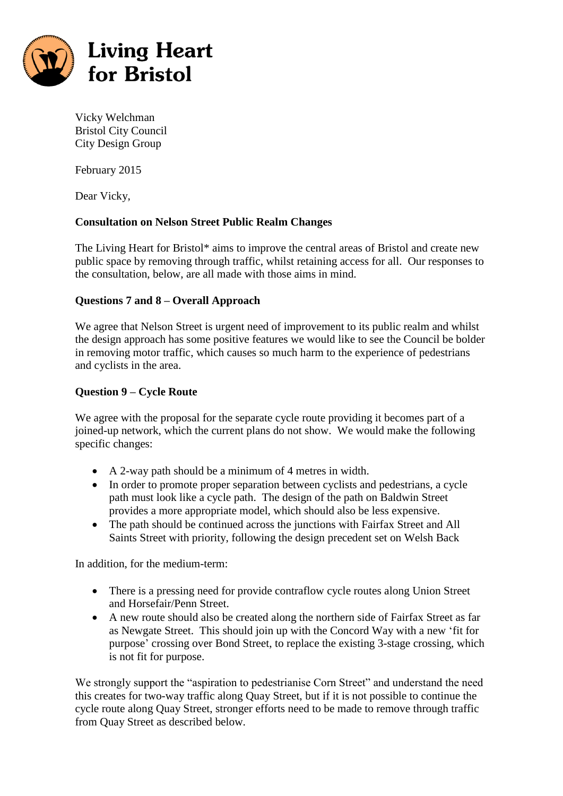

Vicky Welchman Bristol City Council City Design Group

February 2015

Dear Vicky,

# **Consultation on Nelson Street Public Realm Changes**

The Living Heart for Bristol\* aims to improve the central areas of Bristol and create new public space by removing through traffic, whilst retaining access for all. Our responses to the consultation, below, are all made with those aims in mind.

# **Questions 7 and 8 – Overall Approach**

We agree that Nelson Street is urgent need of improvement to its public realm and whilst the design approach has some positive features we would like to see the Council be bolder in removing motor traffic, which causes so much harm to the experience of pedestrians and cyclists in the area.

# **Question 9 – Cycle Route**

We agree with the proposal for the separate cycle route providing it becomes part of a joined-up network, which the current plans do not show. We would make the following specific changes:

- A 2-way path should be a minimum of 4 metres in width.
- In order to promote proper separation between cyclists and pedestrians, a cycle path must look like a cycle path. The design of the path on Baldwin Street provides a more appropriate model, which should also be less expensive.
- The path should be continued across the junctions with Fairfax Street and All Saints Street with priority, following the design precedent set on Welsh Back

In addition, for the medium-term:

- There is a pressing need for provide contraflow cycle routes along Union Street and Horsefair/Penn Street.
- A new route should also be created along the northern side of Fairfax Street as far as Newgate Street. This should join up with the Concord Way with a new 'fit for purpose' crossing over Bond Street, to replace the existing 3-stage crossing, which is not fit for purpose.

We strongly support the "aspiration to pedestrianise Corn Street" and understand the need this creates for two-way traffic along Quay Street, but if it is not possible to continue the cycle route along Quay Street, stronger efforts need to be made to remove through traffic from Quay Street as described below.